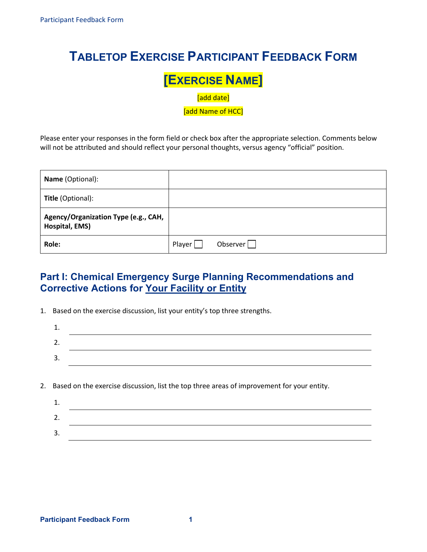## **TABLETOP EXERCISE PARTICIPANT FEEDBACK FORM**

# **EXERCISE NAME]**<br> **add date]**<br> **add Name of HCC**

[add date]

[add Name of HCC]

 Please enter your responses in the form field or check box after the appropriate selection. Comments below will not be attributed and should reflect your personal thoughts, versus agency "official" position.

| <b>Name</b> (Optional):                                |        |                 |
|--------------------------------------------------------|--------|-----------------|
| <b>Title</b> (Optional):                               |        |                 |
| Agency/Organization Type (e.g., CAH,<br>Hospital, EMS) |        |                 |
| Role:                                                  | Player | Observer $\Box$ |

## **Part I: Chemical Emergency Surge Planning Recommendations and Corrective Actions for Your Facility or Entity**

1. Based on the exercise discussion, list your entity's top three strengths.

| <u>.</u> |  |
|----------|--|
| <b>.</b> |  |
|          |  |

2. Based on the exercise discussion, list the top three areas of improvement for your entity.

| ـ ـ      |  |
|----------|--|
| <u>.</u> |  |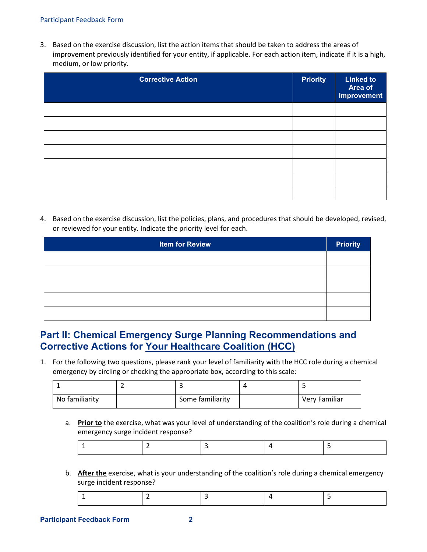#### Participant Feedback Form

 3. Based on the exercise discussion, list the action items that should be taken to address the areas of improvement previously identified for your entity, if applicable. For each action item, indicate if it is a high, medium, or low priority.

| <b>Corrective Action</b> | <b>Priority</b> | <b>Linked to</b><br>Area of<br><b>Improvement</b> |
|--------------------------|-----------------|---------------------------------------------------|
|                          |                 |                                                   |
|                          |                 |                                                   |
|                          |                 |                                                   |
|                          |                 |                                                   |
|                          |                 |                                                   |
|                          |                 |                                                   |
|                          |                 |                                                   |

 4. Based on the exercise discussion, list the policies, plans, and procedures that should be developed, revised, or reviewed for your entity. Indicate the priority level for each.

| <b>Item for Review</b> | <b>Priority</b> |
|------------------------|-----------------|
|                        |                 |
|                        |                 |
|                        |                 |
|                        |                 |
|                        |                 |

### **Corrective Actions for Your Healthcare Coalition (HCC) Part II: Chemical Emergency Surge Planning Recommendations and**

 1. For the following two questions, please rank your level of familiarity with the HCC role during a chemical emergency by circling or checking the appropriate box, according to this scale:

| No familiarity | Some familiarity | Very Familiar |
|----------------|------------------|---------------|

a. **Prior to** the exercise, what was your level of understanding of the coalition's role during a chemical emergency surge incident response?

|--|

 b. **After the** exercise, what is your understanding of the coalition's role during a chemical emergency surge incident response?

|--|--|--|--|--|

#### **Participant Feedback Form**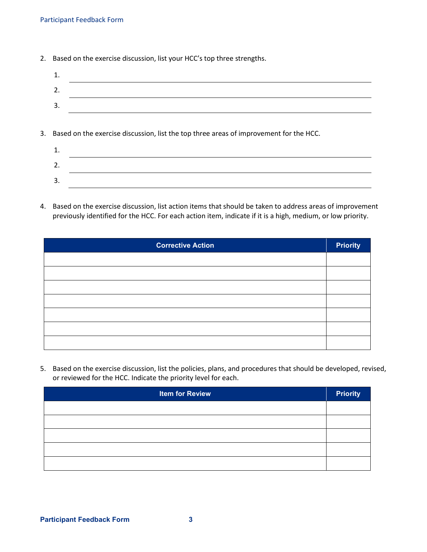2. Based on the exercise discussion, list your HCC's top three strengths.

| ـ. |  |
|----|--|
| З. |  |
|    |  |

3. Based on the exercise discussion, list the top three areas of improvement for the HCC.

| ۷.           |  |
|--------------|--|
| -<br>-<br>J. |  |

 4. Based on the exercise discussion, list action items that should be taken to address areas of improvement previously identified for the HCC. For each action item, indicate if it is a high, medium, or low priority.

| <b>Corrective Action</b> | <b>Priority</b> |
|--------------------------|-----------------|
|                          |                 |
|                          |                 |
|                          |                 |
|                          |                 |
|                          |                 |
|                          |                 |
|                          |                 |

 5. Based on the exercise discussion, list the policies, plans, and procedures that should be developed, revised, or reviewed for the HCC. Indicate the priority level for each.

| <b>Item for Review</b> | <b>Priority</b> |
|------------------------|-----------------|
|                        |                 |
|                        |                 |
|                        |                 |
|                        |                 |
|                        |                 |